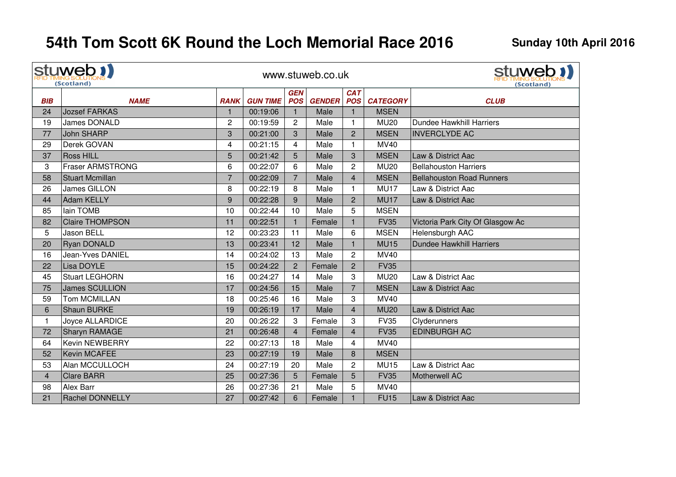|                 | stuweb !!<br>(Scotland) |                |                 |                          | www.stuweb.co.uk |                          | stuweb 1)<br>(Scotland) |                                  |
|-----------------|-------------------------|----------------|-----------------|--------------------------|------------------|--------------------------|-------------------------|----------------------------------|
| <b>BIB</b>      | <b>NAME</b>             | <b>RANK</b>    | <b>GUN TIME</b> | <b>GEN</b><br><b>POS</b> | <b>GENDER</b>    | <b>CAT</b><br><b>POS</b> | <b>CATEGORY</b>         | <b>CLUB</b>                      |
| 24              | <b>Jozsef FARKAS</b>    | $\mathbf{1}$   | 00:19:06        | $\mathbf{1}$             | Male             | $\mathbf{1}$             | <b>MSEN</b>             |                                  |
| 19              | <b>James DONALD</b>     | $\overline{c}$ | 00:19:59        | $\overline{2}$           | Male             | $\mathbf{1}$             | <b>MU20</b>             | Dundee Hawkhill Harriers         |
| 77              | <b>John SHARP</b>       | 3              | 00:21:00        | 3                        | Male             | $\overline{c}$           | <b>MSEN</b>             | <b>INVERCLYDE AC</b>             |
| 29              | Derek GOVAN             | 4              | 00:21:15        | 4                        | Male             | $\mathbf{1}$             | <b>MV40</b>             |                                  |
| 37              | <b>Ross HILL</b>        | $\overline{5}$ | 00:21:42        | 5                        | Male             | 3                        | <b>MSEN</b>             | Law & District Aac               |
| 3               | <b>Fraser ARMSTRONG</b> | 6              | 00:22:07        | 6                        | Male             | $\overline{c}$           | <b>MU20</b>             | <b>Bellahouston Harriers</b>     |
| 58              | <b>Stuart Mcmillan</b>  | $\overline{7}$ | 00:22:09        | $\overline{7}$           | Male             | $\overline{\mathbf{4}}$  | <b>MSEN</b>             | <b>Bellahouston Road Runners</b> |
| 26              | <b>James GILLON</b>     | 8              | 00:22:19        | 8                        | Male             | $\mathbf{1}$             | <b>MU17</b>             | Law & District Aac               |
| 44              | <b>Adam KELLY</b>       | 9              | 00:22:28        | 9                        | Male             | $\overline{2}$           | <b>MU17</b>             | Law & District Aac               |
| 85              | lain TOMB               | 10             | 00:22:44        | 10                       | Male             | 5                        | <b>MSEN</b>             |                                  |
| 82              | <b>Claire THOMPSON</b>  | 11             | 00:22:51        | $\mathbf{1}$             | Female           | $\mathbf{1}$             | <b>FV35</b>             | Victoria Park City Of Glasgow Ac |
| $5\phantom{.0}$ | <b>Jason BELL</b>       | 12             | 00:23:23        | 11                       | Male             | 6                        | <b>MSEN</b>             | Helensburgh AAC                  |
| 20              | <b>Ryan DONALD</b>      | 13             | 00:23:41        | 12                       | Male             | $\mathbf{1}$             | <b>MU15</b>             | <b>Dundee Hawkhill Harriers</b>  |
| 16              | Jean-Yves DANIEL        | 14             | 00:24:02        | 13                       | Male             | $\overline{c}$           | <b>MV40</b>             |                                  |
| 22              | Lisa DOYLE              | 15             | 00:24:22        | $\overline{2}$           | Female           | $\overline{2}$           | <b>FV35</b>             |                                  |
| 45              | <b>Stuart LEGHORN</b>   | 16             | 00:24:27        | 14                       | Male             | 3                        | <b>MU20</b>             | Law & District Aac               |
| 75              | <b>James SCULLION</b>   | 17             | 00:24:56        | 15                       | Male             | $\overline{7}$           | <b>MSEN</b>             | Law & District Aac               |
| 59              | Tom MCMILLAN            | 18             | 00:25:46        | 16                       | Male             | 3                        | <b>MV40</b>             |                                  |
| $\,6\,$         | Shaun BURKE             | 19             | 00:26:19        | 17                       | Male             | $\overline{\mathbf{4}}$  | <b>MU20</b>             | Law & District Aac               |
| $\mathbf{1}$    | Joyce ALLARDICE         | 20             | 00:26:22        | 3                        | Female           | 3                        | <b>FV35</b>             | Clyderunners                     |
| 72              | <b>Sharyn RAMAGE</b>    | 21             | 00:26:48        | $\overline{4}$           | Female           | $\overline{4}$           | <b>FV35</b>             | <b>EDINBURGH AC</b>              |
| 64              | <b>Kevin NEWBERRY</b>   | 22             | 00:27:13        | 18                       | Male             | 4                        | <b>MV40</b>             |                                  |
| 52              | Kevin MCAFEE            | 23             | 00:27:19        | 19                       | Male             | 8                        | <b>MSEN</b>             |                                  |
| 53              | Alan MCCULLOCH          | 24             | 00:27:19        | 20                       | Male             | $\overline{c}$           | <b>MU15</b>             | Law & District Aac               |
| $\overline{4}$  | <b>Clare BARR</b>       | 25             | 00:27:36        | 5                        | Female           | 5                        | <b>FV35</b>             | Motherwell AC                    |
| 98              | Alex Barr               | 26             | 00:27:36        | 21                       | Male             | 5                        | <b>MV40</b>             |                                  |
| 21              | <b>Rachel DONNELLY</b>  | 27             | 00:27:42        | 6                        | Female           | $\mathbf{1}$             | <b>FU15</b>             | <b>Law &amp; District Aac</b>    |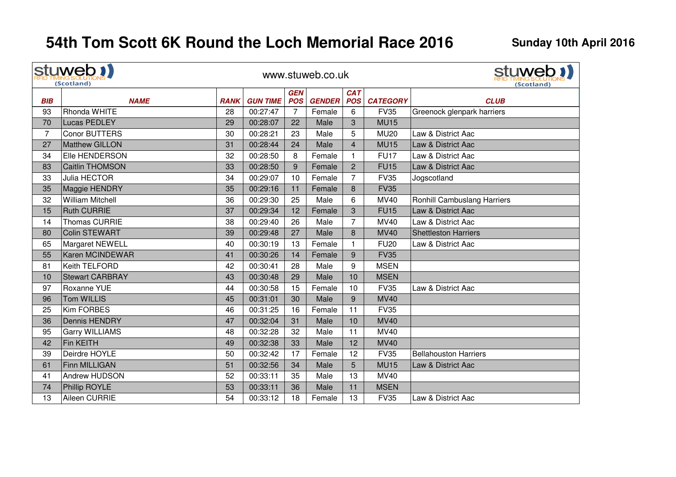$\mathbf{r}$ 

|                | stuweb <b>1</b><br>(Scotland) |             |                 |            | www.stuweb.co.uk |                | stuweb !!<br>(Scotland) |                              |
|----------------|-------------------------------|-------------|-----------------|------------|------------------|----------------|-------------------------|------------------------------|
|                |                               |             |                 | <b>GEN</b> |                  | <b>CAT</b>     |                         |                              |
| <b>BIB</b>     | <b>NAME</b>                   | <b>RANK</b> | <b>GUN TIME</b> | <b>POS</b> | <b>GENDER</b>    | <b>POS</b>     | <b>CATEGORY</b>         | <b>CLUB</b>                  |
| 93             | Rhonda WHITE                  | 28          | 00:27:47        | 7          | Female           | 6              | <b>FV35</b>             | Greenock glenpark harriers   |
| 70             | <b>Lucas PEDLEY</b>           | 29          | 00:28:07        | 22         | Male             | 3              | <b>MU15</b>             |                              |
| $\overline{7}$ | <b>Conor BUTTERS</b>          | 30          | 00:28:21        | 23         | Male             | 5              | <b>MU20</b>             | Law & District Aac           |
| 27             | Matthew GILLON                | 31          | 00:28:44        | 24         | Male             | $\overline{4}$ | <b>MU15</b>             | Law & District Aac           |
| 34             | Elle HENDERSON                | 32          | 00:28:50        | 8          | Female           | $\mathbf{1}$   | <b>FU17</b>             | Law & District Aac           |
| 83             | <b>Caitlin THOMSON</b>        | 33          | 00:28:50        | 9          | Female           | $\overline{2}$ | <b>FU15</b>             | Law & District Aac           |
| 33             | Julia HECTOR                  | 34          | 00:29:07        | 10         | Female           | $\overline{7}$ | <b>FV35</b>             | Jogscotland                  |
| 35             | Maggie HENDRY                 | 35          | 00:29:16        | 11         | Female           | 8              | <b>FV35</b>             |                              |
| 32             | <b>William Mitchell</b>       | 36          | 00:29:30        | 25         | Male             | 6              | <b>MV40</b>             | Ronhill Cambuslang Harriers  |
| 15             | <b>Ruth CURRIE</b>            | 37          | 00:29:34        | 12         | Female           | 3              | <b>FU15</b>             | Law & District Aac           |
| 14             | Thomas CURRIE                 | 38          | 00:29:40        | 26         | Male             | $\overline{7}$ | <b>MV40</b>             | Law & District Aac           |
| 80             | <b>Colin STEWART</b>          | 39          | 00:29:48        | 27         | Male             | 8              | <b>MV40</b>             | <b>Shettleston Harriers</b>  |
| 65             | Margaret NEWELL               | 40          | 00:30:19        | 13         | Female           | 1              | <b>FU20</b>             | Law & District Aac           |
| 55             | <b>Karen MCINDEWAR</b>        | 41          | 00:30:26        | 14         | Female           | 9              | <b>FV35</b>             |                              |
| 81             | Keith TELFORD                 | 42          | 00:30:41        | 28         | Male             | 9              | <b>MSEN</b>             |                              |
| 10             | <b>Stewart CARBRAY</b>        | 43          | 00:30:48        | 29         | Male             | 10             | <b>MSEN</b>             |                              |
| 97             | Roxanne YUE                   | 44          | 00:30:58        | 15         | Female           | 10             | <b>FV35</b>             | Law & District Aac           |
| 96             | <b>Tom WILLIS</b>             | 45          | 00:31:01        | 30         | Male             | 9              | <b>MV40</b>             |                              |
| 25             | <b>Kim FORBES</b>             | 46          | 00:31:25        | 16         | Female           | 11             | <b>FV35</b>             |                              |
| 36             | Dennis HENDRY                 | 47          | 00:32:04        | 31         | Male             | 10             | <b>MV40</b>             |                              |
| 95             | <b>Garry WILLIAMS</b>         | 48          | 00:32:28        | 32         | Male             | 11             | MV40                    |                              |
| 42             | Fin KEITH                     | 49          | 00:32:38        | 33         | Male             | 12             | <b>MV40</b>             |                              |
| 39             | Deirdre HOYLE                 | 50          | 00:32:42        | 17         | Female           | 12             | <b>FV35</b>             | <b>Bellahouston Harriers</b> |
| 61             | Finn MILLIGAN                 | 51          | 00:32:56        | 34         | Male             | 5              | <b>MU15</b>             | Law & District Aac           |
| 41             | Andrew HUDSON                 | 52          | 00:33:11        | 35         | Male             | 13             | MV40                    |                              |
| 74             | Phillip ROYLE                 | 53          | 00:33:11        | 36         | Male             | 11             | <b>MSEN</b>             |                              |
| 13             | Aileen CURRIE                 | 54          | 00:33:12        | 18         | Female           | 13             | <b>FV35</b>             | Law & District Aac           |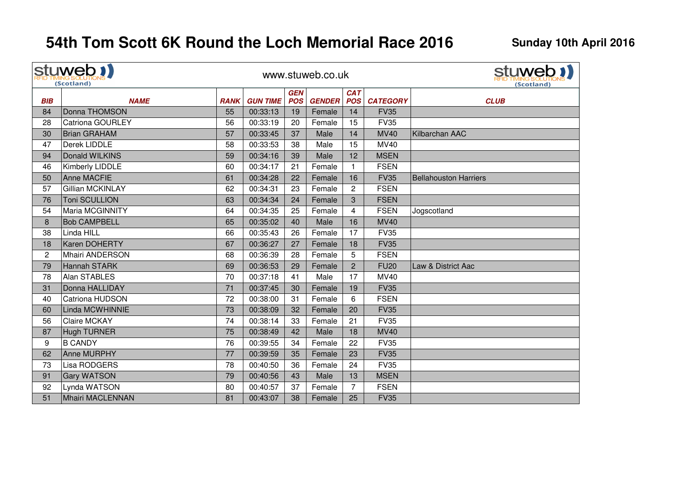| stuweb !!<br>(Scotland) |                         |             |                 |            | www.stuweb.co.uk |                | stuweb 1)<br>(Scotland) |                              |
|-------------------------|-------------------------|-------------|-----------------|------------|------------------|----------------|-------------------------|------------------------------|
|                         |                         |             |                 | <b>GEN</b> |                  | <b>CAT</b>     |                         |                              |
| <b>BIB</b>              | <b>NAME</b>             | <b>RANK</b> | <b>GUN TIME</b> | <b>POS</b> | <b>GENDER</b>    | <b>POS</b>     | <b>CATEGORY</b>         | <b>CLUB</b>                  |
| 84                      | Donna THOMSON           | 55          | 00:33:13        | 19         | Female           | 14             | <b>FV35</b>             |                              |
| 28                      | <b>Catriona GOURLEY</b> | 56          | 00:33:19        | 20         | Female           | 15             | <b>FV35</b>             |                              |
| 30                      | <b>Brian GRAHAM</b>     | 57          | 00:33:45        | 37         | Male             | 14             | <b>MV40</b>             | Kilbarchan AAC               |
| 47                      | Derek LIDDLE            | 58          | 00:33:53        | 38         | Male             | 15             | MV40                    |                              |
| 94                      | Donald WILKINS          | 59          | 00:34:16        | 39         | Male             | 12             | <b>MSEN</b>             |                              |
| 46                      | Kimberly LIDDLE         | 60          | 00:34:17        | 21         | Female           | $\mathbf{1}$   | <b>FSEN</b>             |                              |
| 50                      | <b>Anne MACFIE</b>      | 61          | 00:34:28        | 22         | Female           | 16             | <b>FV35</b>             | <b>Bellahouston Harriers</b> |
| 57                      | Gillian MCKINLAY        | 62          | 00:34:31        | 23         | Female           | $\overline{2}$ | <b>FSEN</b>             |                              |
| 76                      | Toni SCULLION           | 63          | 00:34:34        | 24         | Female           | 3              | <b>FSEN</b>             |                              |
| 54                      | Maria MCGINNITY         | 64          | 00:34:35        | 25         | Female           | 4              | <b>FSEN</b>             | Jogscotland                  |
| 8                       | <b>Bob CAMPBELL</b>     | 65          | 00:35:02        | 40         | Male             | 16             | <b>MV40</b>             |                              |
| 38                      | Linda HILL              | 66          | 00:35:43        | 26         | Female           | 17             | <b>FV35</b>             |                              |
| 18                      | Karen DOHERTY           | 67          | 00:36:27        | 27         | Female           | 18             | <b>FV35</b>             |                              |
| $\overline{c}$          | Mhairi ANDERSON         | 68          | 00:36:39        | 28         | Female           | 5              | <b>FSEN</b>             |                              |
| 79                      | <b>Hannah STARK</b>     | 69          | 00:36:53        | 29         | Female           | $\overline{2}$ | <b>FU20</b>             | Law & District Aac           |
| 78                      | Alan STABLES            | 70          | 00:37:18        | 41         | Male             | 17             | MV40                    |                              |
| 31                      | Donna HALLIDAY          | 71          | 00:37:45        | 30         | Female           | 19             | <b>FV35</b>             |                              |
| 40                      | Catriona HUDSON         | 72          | 00:38:00        | 31         | Female           | 6              | <b>FSEN</b>             |                              |
| 60                      | Linda MCWHINNIE         | 73          | 00:38:09        | 32         | Female           | 20             | <b>FV35</b>             |                              |
| 56                      | <b>Claire MCKAY</b>     | 74          | 00:38:14        | 33         | Female           | 21             | <b>FV35</b>             |                              |
| 87                      | <b>Hugh TURNER</b>      | 75          | 00:38:49        | 42         | Male             | 18             | <b>MV40</b>             |                              |
| 9                       | <b>B CANDY</b>          | 76          | 00:39:55        | 34         | Female           | 22             | <b>FV35</b>             |                              |
| 62                      | <b>Anne MURPHY</b>      | 77          | 00:39:59        | 35         | Female           | 23             | <b>FV35</b>             |                              |
| 73                      | Lisa RODGERS            | 78          | 00:40:50        | 36         | Female           | 24             | <b>FV35</b>             |                              |
| 91                      | <b>Gary WATSON</b>      | 79          | 00:40:56        | 43         | Male             | 13             | <b>MSEN</b>             |                              |
| 92                      | Lynda WATSON            | 80          | 00:40:57        | 37         | Female           | $\overline{7}$ | <b>FSEN</b>             |                              |
| 51                      | Mhairi MACLENNAN        | 81          | 00:43:07        | 38         | Female           | 25             | <b>FV35</b>             |                              |